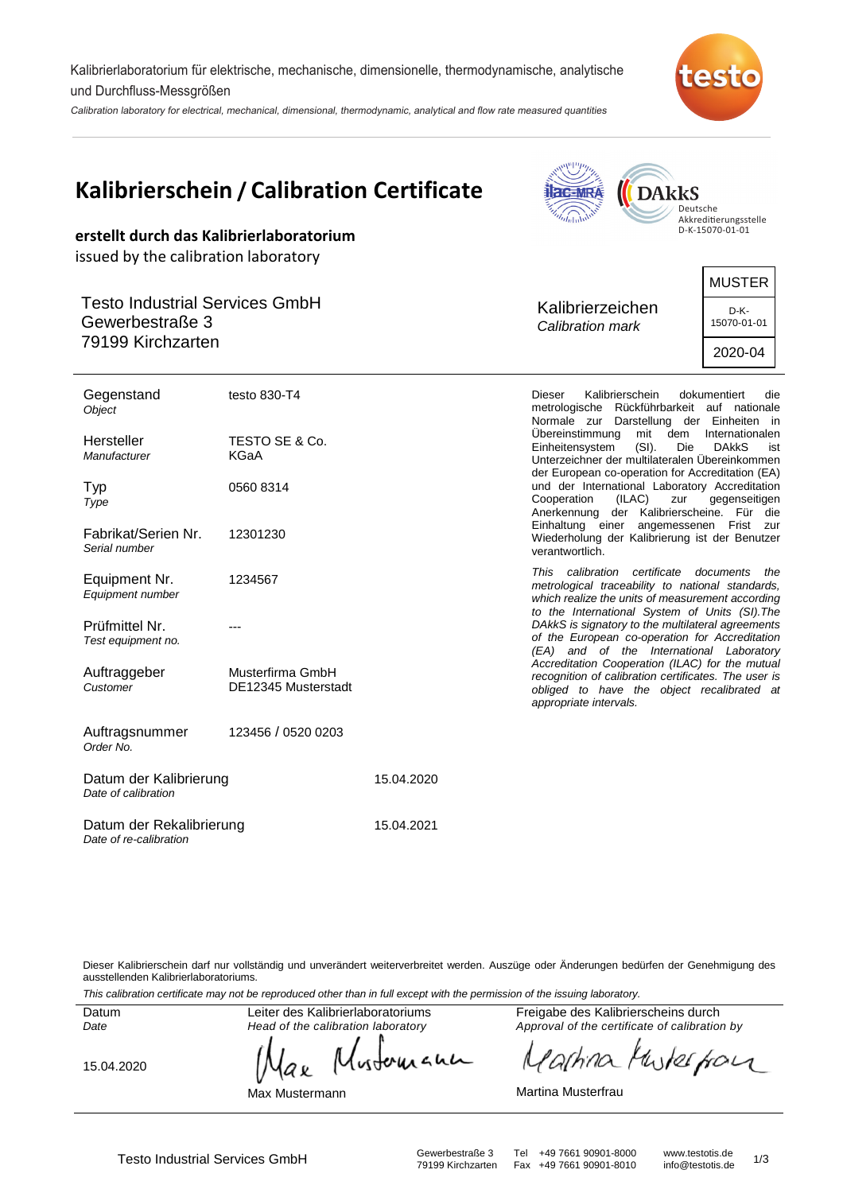Kalibrierlaboratorium für elektrische, mechanische, dimensionelle, thermodynamische, analytische und Durchfluss-Messgrößen

Calibration laboratory for electrical, mechanical, dimensional, thermodynamic, analytical and flow rate measured quantities



*<u>Supplifting</u>* 

 $\overline{\phantom{0}}$ 

|                                                          | Kalibrierschein / Calibration Certificate | <b>Hac-MRA</b><br><b>DARKS</b><br>Deutsche<br>Akkreditierungsstelle                                                                                                                                                                                                                                                                                                       |                     |  |
|----------------------------------------------------------|-------------------------------------------|---------------------------------------------------------------------------------------------------------------------------------------------------------------------------------------------------------------------------------------------------------------------------------------------------------------------------------------------------------------------------|---------------------|--|
| issued by the calibration laboratory                     | erstellt durch das Kalibrierlaboratorium  |                                                                                                                                                                                                                                                                                                                                                                           | D-K-15070-01-01     |  |
|                                                          |                                           |                                                                                                                                                                                                                                                                                                                                                                           | <b>MUSTER</b>       |  |
| <b>Testo Industrial Services GmbH</b><br>Gewerbestraße 3 |                                           | Kalibrierzeichen<br>Calibration mark                                                                                                                                                                                                                                                                                                                                      | D-K-<br>15070-01-01 |  |
| 79199 Kirchzarten                                        |                                           |                                                                                                                                                                                                                                                                                                                                                                           | 2020-04             |  |
| Gegenstand<br>Object                                     | testo 830-T4                              | Kalibrierschein<br><b>Dieser</b><br>dokumentiert<br>die<br>metrologische Rückführbarkeit auf nationale<br>Normale zur Darstellung der Einheiten in<br>Übereinstimmung<br>mit<br>dem<br>Internationalen<br>Einheitensystem<br>$(SI)$ .<br>Die<br><b>DAKKS</b><br>ist<br>Unterzeichner der multilateralen Übereinkommen<br>der European co-operation for Accreditation (EA) |                     |  |
| Hersteller<br>Manufacturer                               | TESTO SE & Co.<br>KGaA                    |                                                                                                                                                                                                                                                                                                                                                                           |                     |  |
| Typ<br>Type                                              | 0560 8314                                 | und der International Laboratory Accreditation<br>Cooperation<br>(ILAC)<br>zur<br>Anerkennung der Kalibrierscheine. Für die                                                                                                                                                                                                                                               | gegenseitigen       |  |
| Fabrikat/Serien Nr.<br>Serial number                     | 12301230                                  | Einhaltung einer angemessenen Frist zur<br>Wiederholung der Kalibrierung ist der Benutzer<br>verantwortlich.                                                                                                                                                                                                                                                              |                     |  |
| Equipment Nr.<br>Equipment number                        | 1234567                                   | This calibration certificate<br>metrological traceability to national standards,<br>which realize the units of measurement according<br>to the International System of Units (SI). The                                                                                                                                                                                    | documents<br>the    |  |
| Prüfmittel Nr.<br>Test equipment no.                     |                                           | DAkkS is signatory to the multilateral agreements<br>of the European co-operation for Accreditation<br>(EA) and of the International Laboratory                                                                                                                                                                                                                           |                     |  |
| Auftraggeber<br>Customer                                 | Musterfirma GmbH<br>DE12345 Musterstadt   | Accreditation Cooperation (ILAC) for the mutual<br>recognition of calibration certificates. The user is<br>obliged to have the object recalibrated at<br>appropriate intervals.                                                                                                                                                                                           |                     |  |
| Auftragsnummer                                           | 123456 / 0520 0203                        |                                                                                                                                                                                                                                                                                                                                                                           |                     |  |

| Datum der Kalibrierung<br>Date of calibration      | 15.04.2020 |  |
|----------------------------------------------------|------------|--|
| Datum der Rekalibrierung<br>Date of re-calibration | 15.04.2021 |  |

Dieser Kalibrierschein darf nur vollständig und unverändert weiterverbreitet werden. Auszüge oder Änderungen bedürfen der Genehmigung des ausstellenden Kalibrierlaboratoriums.

This calibration certificate may not be reproduced other than in full except with the permission of the issuing laboratory.

Datum Date

Order No.

Leiter des Kalibrierlaboratoriums Head of the calibration laboratory

Max Mustermann

аx

wherean

15.04.2020

Freigabe des Kalibrierscheins durch Approval of the certificate of calibration by

wherefor 'a[hina N

Martina Musterfrau

Testo Industrial Services GmbH Gewerbestraße 3 Tel +49 7661 90901-8000 www.testotis.de 1/3 Fax +49 7661 90901-8010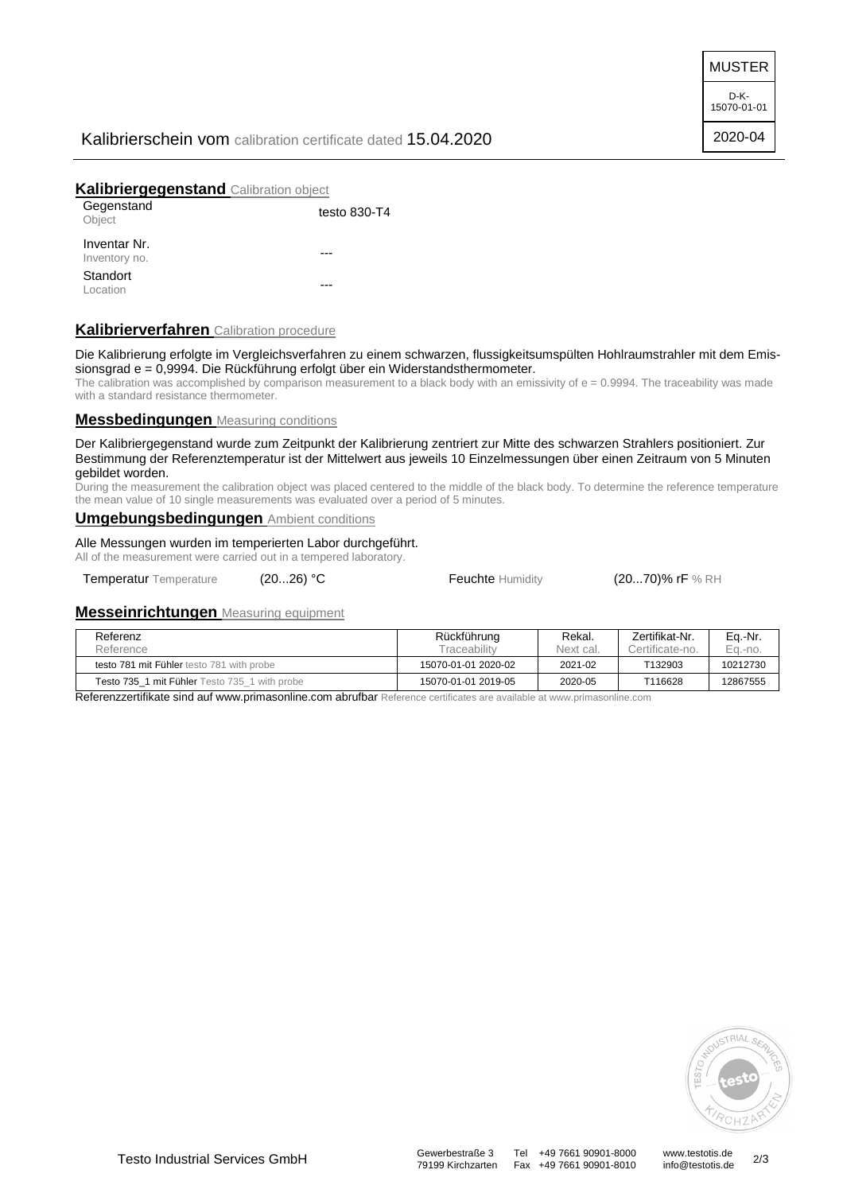MUSTER

D-K-15070-01-01 2020-04

# Kalibrierschein vom calibration certificate dated 15.04.2020

## **Kalibriergegenstand** Calibration object

| Gegenstand<br>Object          | testo 830-T4 |
|-------------------------------|--------------|
| Inventar Nr.<br>Inventory no. |              |
| Standort<br>Location          |              |

# **Kalibrierverfahren** Calibration procedure

Die Kalibrierung erfolgte im Vergleichsverfahren zu einem schwarzen, flussigkeitsumspülten Hohlraumstrahler mit dem Emissionsgrad e = 0,9994. Die Rückführung erfolgt über ein Widerstandsthermometer.

The calibration was accomplished by comparison measurement to a black body with an emissivity of  $e = 0.9994$ . The traceability was made with a standard resistance thermometer.

#### **Messbedingungen** Measuring conditions

Der Kalibriergegenstand wurde zum Zeitpunkt der Kalibrierung zentriert zur Mitte des schwarzen Strahlers positioniert. Zur Bestimmung der Referenztemperatur ist der Mittelwert aus jeweils 10 Einzelmessungen über einen Zeitraum von 5 Minuten gebildet worden.

During the measurement the calibration object was placed centered to the middle of the black body. To determine the reference temperature the mean value of 10 single measurements was evaluated over a period of 5 minutes.

## **Umgebungsbedingungen** Ambient conditions

Alle Messungen wurden im temperierten Labor durchgeführt. All of the measurement were carried out in a tempered laboratory.

Temperatur Temperature (20...26) °C Feuchte Humidity (20...70)% rF % RH

## **Messeinrichtungen** Measuring equipment

| Referenz                                      | Rückführung         | Rekal.    | Zertifikat-Nr.  | Eq.-Nr.  |
|-----------------------------------------------|---------------------|-----------|-----------------|----------|
| Reference                                     | <b>Fraceability</b> | Next cal. | Certificate-no. | Ea.-no.  |
| testo 781 mit Fühler testo 781 with probe     | 15070-01-01 2020-02 | 2021-02   | T132903         | 10212730 |
| Testo 735 1 mit Fühler Testo 735 1 with probe | 15070-01-01 2019-05 | 2020-05   | T116628         | 12867555 |

Referenzzertifikate sind auf www.primasonline.com abrufbar Reference certificates are available at www.primasonline.com



Fax +49 7661 90901-8010